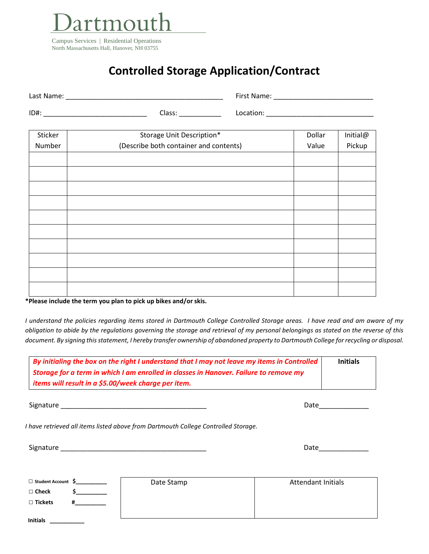

## **Controlled Storage Application/Contract**

| Last Name: |        | First Name: |  |
|------------|--------|-------------|--|
| ID#:       | Class: | .ocation:   |  |

| Sticker | Storage Unit Description*              | Dollar | Initial@ |
|---------|----------------------------------------|--------|----------|
| Number  | (Describe both container and contents) | Value  | Pickup   |
|         |                                        |        |          |
|         |                                        |        |          |
|         |                                        |        |          |
|         |                                        |        |          |
|         |                                        |        |          |
|         |                                        |        |          |
|         |                                        |        |          |
|         |                                        |        |          |
|         |                                        |        |          |
|         |                                        |        |          |
|         |                                        |        |          |

**\*Please include the term you plan to pick up bikes and/or skis.**

*I understand the policies regarding items stored in Dartmouth College Controlled Storage areas. I have read and am aware of my obligation to abide by the regulations governing the storage and retrieval of my personal belongings as stated on the reverse of this document. By signing this statement, I hereby transfer ownership of abandoned property to Dartmouth College for recycling or disposal.*

| By initialing the box on the right I understand that I may not leave my items in Controlled | <b>Initials</b> |
|---------------------------------------------------------------------------------------------|-----------------|
| Storage for a term in which I am enrolled in classes in Hanover. Failure to remove my       |                 |
| items will result in a \$5.00/week charge per item.                                         |                 |

Signature \_\_\_\_\_\_\_\_\_\_\_\_\_\_\_\_\_\_\_\_\_\_\_\_\_\_\_\_\_\_\_\_\_\_\_\_\_\_ Date\_\_\_\_\_\_\_\_\_\_\_\_\_

*I have retrieved all items listed above from Dartmouth College Controlled Storage.* 

| $\sim$<br>S18n <sup>2</sup><br>.<br>.<br>__ | . .<br>---- |
|---------------------------------------------|-------------|
|                                             |             |

| Date |  |  |  |  |
|------|--|--|--|--|
|      |  |  |  |  |

| □ Student Account \$ | Date Stamp | <b>Attendant Initials</b> |
|----------------------|------------|---------------------------|
| $\Box$ Check         |            |                           |
| $\Box$ Tickets       |            |                           |
| <b>Initials</b>      |            |                           |